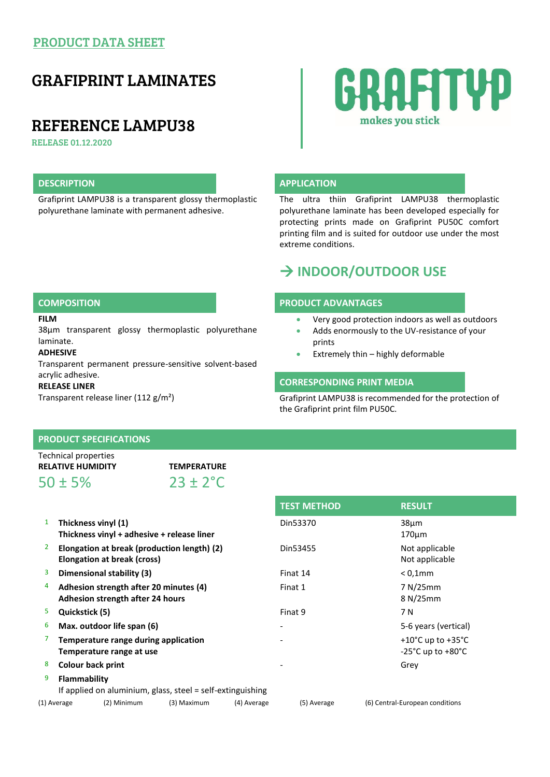## PRODUCT DATA SHEET

# GRAFIPRINT LAMINATES

## REFERENCE LAMPU38

RELEASE 01.12.2020

Grafiprint LAMPU38 is a transparent glossy thermoplastic polyurethane laminate with permanent adhesive.



### **DESCRIPTION APPLICATION**

The ultra thiin Grafiprint LAMPU38 thermoplastic polyurethane laminate has been developed especially for protecting prints made on Grafiprint PU50C comfort printing film and is suited for outdoor use under the most extreme conditions.

# **INDOOR/OUTDOOR USE**

#### **COMPOSITION PRODUCT ADVANTAGES**

- Very good protection indoors as well as outdoors
- Adds enormously to the UV-resistance of your prints
- **Extremely thin highly deformable**

### **CORRESPONDING PRINT MEDIA**

Grafiprint LAMPU38 is recommended for the protection of the Grafiprint print film PU50C.

### **FILM**

38µm transparent glossy thermoplastic polyurethane laminate.

**ADHESIVE**

Transparent permanent pressure-sensitive solvent-based acrylic adhesive.

#### **RELEASE LINER**

Transparent release liner (112 g/m²)

## **PRODUCT SPECIFICATIONS**

| Technical properties     |                      |  |
|--------------------------|----------------------|--|
| <b>RELATIVE HUMIDITY</b> | <b>TEMPERATURE</b>   |  |
| $50 \pm 5\%$             | $23 \pm 2^{\circ}$ C |  |

| $\mathbf{1}$   | Thickness vinyl (1)<br>Thickness vinyl + adhesive + release liner                 | Din53370 | 38 <sub>µ</sub> m<br>$170 \mu m$                                                 |
|----------------|-----------------------------------------------------------------------------------|----------|----------------------------------------------------------------------------------|
| $\overline{2}$ | Elongation at break (production length) (2)<br><b>Elongation at break (cross)</b> | Din53455 | Not applicable<br>Not applicable                                                 |
| 3              | Dimensional stability (3)                                                         | Finat 14 | $< 0.1$ mm                                                                       |
| 4              | Adhesion strength after 20 minutes (4)<br>Adhesion strength after 24 hours        | Finat 1  | 7 N/25mm<br>8 N/25mm                                                             |
| 5              | Quickstick (5)                                                                    | Finat 9  | 7 N                                                                              |
| 6              | Max. outdoor life span (6)                                                        |          | 5-6 years (vertical)                                                             |
| 7              | Temperature range during application<br>Temperature range at use                  |          | +10 $^{\circ}$ C up to +35 $^{\circ}$ C<br>$-25^{\circ}$ C up to $+80^{\circ}$ C |
| 8              | <b>Colour back print</b>                                                          |          | Grey                                                                             |
| 9              | Flammability<br>If applied on aluminium, glass, steel = self-extinguishing        |          |                                                                                  |

(1) Average (2) Minimum (3) Maximum (4) Average (5) Average (6) Central-European conditions

| <b>TEST METHOD</b> | <b>RESULT</b>                                                |
|--------------------|--------------------------------------------------------------|
| Din53370           | 38 <sub>µ</sub> m<br>$170 \mu m$                             |
| Din53455           | Not applicable<br>Not applicable                             |
| Finat 14           | $< 0.1$ mm                                                   |
| Finat 1            | 7 N/25mm<br>8 N/25mm                                         |
| Finat 9            | 7 N                                                          |
|                    | 5-6 years (vertical)                                         |
|                    | +10 $^{\circ}$ C up to +35 $^{\circ}$ C<br>-25°C up to +80°C |
|                    | Grev                                                         |